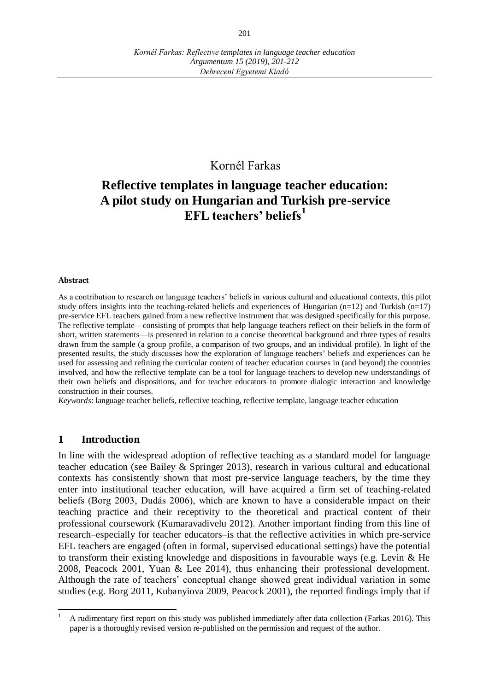## Kornél Farkas

# **Reflective templates in language teacher education: A pilot study on Hungarian and Turkish pre-service EFL teachers' beliefs<sup>1</sup>**

#### **Abstract**

As a contribution to research on language teachers' beliefs in various cultural and educational contexts, this pilot study offers insights into the teaching-related beliefs and experiences of Hungarian  $(n=12)$  and Turkish  $(n=17)$ pre-service EFL teachers gained from a new reflective instrument that was designed specifically for this purpose. The reflective template—consisting of prompts that help language teachers reflect on their beliefs in the form of short, written statements—is presented in relation to a concise theoretical background and three types of results drawn from the sample (a group profile, a comparison of two groups, and an individual profile). In light of the presented results, the study discusses how the exploration of language teachers' beliefs and experiences can be used for assessing and refining the curricular content of teacher education courses in (and beyond) the countries involved, and how the reflective template can be a tool for language teachers to develop new understandings of their own beliefs and dispositions, and for teacher educators to promote dialogic interaction and knowledge construction in their courses.

*Keywords*: language teacher beliefs, reflective teaching, reflective template, language teacher education

#### **1 Introduction**

 $\overline{a}$ 

In line with the widespread adoption of reflective teaching as a standard model for language teacher education (see Bailey & Springer 2013), research in various cultural and educational contexts has consistently shown that most pre-service language teachers, by the time they enter into institutional teacher education, will have acquired a firm set of teaching-related beliefs (Borg 2003, Dudás 2006), which are known to have a considerable impact on their teaching practice and their receptivity to the theoretical and practical content of their professional coursework (Kumaravadivelu 2012). Another important finding from this line of research–especially for teacher educators–is that the reflective activities in which pre-service EFL teachers are engaged (often in formal, supervised educational settings) have the potential to transform their existing knowledge and dispositions in favourable ways (e.g. Levin & He 2008, Peacock 2001, Yuan & Lee 2014), thus enhancing their professional development. Although the rate of teachers' conceptual change showed great individual variation in some studies (e.g. Borg 2011, Kubanyiova 2009, Peacock 2001), the reported findings imply that if

<sup>1</sup> A rudimentary first report on this study was published immediately after data collection (Farkas 2016). This paper is a thoroughly revised version re-published on the permission and request of the author.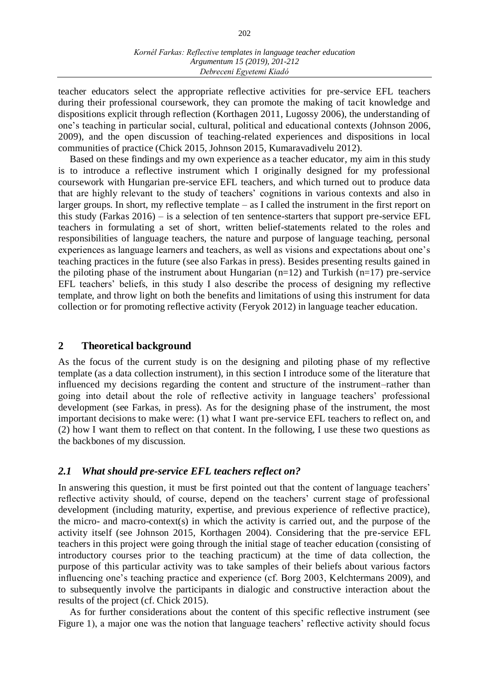#### *Kornél Farkas: Reflective templates in language teacher education Argumentum 15 (2019), 201-212 Debreceni Egyetemi Kiadó*

teacher educators select the appropriate reflective activities for pre-service EFL teachers during their professional coursework, they can promote the making of tacit knowledge and dispositions explicit through reflection (Korthagen 2011, Lugossy 2006), the understanding of one's teaching in particular social, cultural, political and educational contexts (Johnson 2006, 2009), and the open discussion of teaching-related experiences and dispositions in local communities of practice (Chick 2015, Johnson 2015, Kumaravadivelu 2012).

Based on these findings and my own experience as a teacher educator, my aim in this study is to introduce a reflective instrument which I originally designed for my professional coursework with Hungarian pre-service EFL teachers, and which turned out to produce data that are highly relevant to the study of teachers' cognitions in various contexts and also in larger groups. In short, my reflective template – as I called the instrument in the first report on this study (Farkas 2016) – is a selection of ten sentence-starters that support pre-service EFL teachers in formulating a set of short, written belief-statements related to the roles and responsibilities of language teachers, the nature and purpose of language teaching, personal experiences as language learners and teachers, as well as visions and expectations about one's teaching practices in the future (see also Farkas in press). Besides presenting results gained in the piloting phase of the instrument about Hungarian  $(n=12)$  and Turkish  $(n=17)$  pre-service EFL teachers' beliefs, in this study I also describe the process of designing my reflective template, and throw light on both the benefits and limitations of using this instrument for data collection or for promoting reflective activity (Feryok 2012) in language teacher education.

#### **2 Theoretical background**

As the focus of the current study is on the designing and piloting phase of my reflective template (as a data collection instrument), in this section I introduce some of the literature that influenced my decisions regarding the content and structure of the instrument–rather than going into detail about the role of reflective activity in language teachers' professional development (see Farkas, in press). As for the designing phase of the instrument, the most important decisions to make were: (1) what I want pre-service EFL teachers to reflect on, and (2) how I want them to reflect on that content. In the following, I use these two questions as the backbones of my discussion.

#### *2.1 What should pre-service EFL teachers reflect on?*

In answering this question, it must be first pointed out that the content of language teachers' reflective activity should, of course, depend on the teachers' current stage of professional development (including maturity, expertise, and previous experience of reflective practice), the micro- and macro-context(s) in which the activity is carried out, and the purpose of the activity itself (see Johnson 2015, Korthagen 2004). Considering that the pre-service EFL teachers in this project were going through the initial stage of teacher education (consisting of introductory courses prior to the teaching practicum) at the time of data collection, the purpose of this particular activity was to take samples of their beliefs about various factors influencing one's teaching practice and experience (cf. Borg 2003, Kelchtermans 2009), and to subsequently involve the participants in dialogic and constructive interaction about the results of the project (cf. Chick 2015).

As for further considerations about the content of this specific reflective instrument (see Figure 1), a major one was the notion that language teachers' reflective activity should focus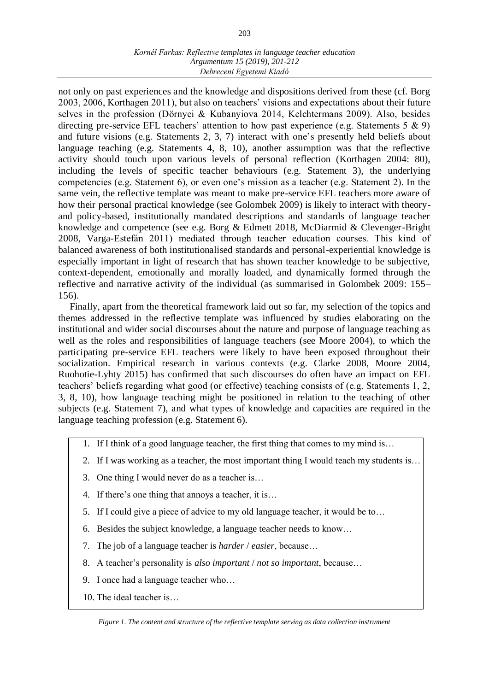#### *Kornél Farkas: Reflective templates in language teacher education Argumentum 15 (2019), 201-212 Debreceni Egyetemi Kiadó*

not only on past experiences and the knowledge and dispositions derived from these (cf. Borg 2003, 2006, Korthagen 2011), but also on teachers' visions and expectations about their future selves in the profession (Dörnyei & Kubanyiova 2014, Kelchtermans 2009). Also, besides directing pre-service EFL teachers' attention to how past experience (e.g. Statements 5 & 9) and future visions (e.g. Statements 2, 3, 7) interact with one's presently held beliefs about language teaching (e.g. Statements 4, 8, 10), another assumption was that the reflective activity should touch upon various levels of personal reflection (Korthagen 2004: 80), including the levels of specific teacher behaviours (e.g. Statement 3), the underlying competencies (e.g. Statement 6), or even one's mission as a teacher (e.g. Statement 2). In the same vein, the reflective template was meant to make pre-service EFL teachers more aware of how their personal practical knowledge (see Golombek 2009) is likely to interact with theoryand policy-based, institutionally mandated descriptions and standards of language teacher knowledge and competence (see e.g. Borg & Edmett 2018, McDiarmid & Clevenger-Bright 2008, Varga-Estefán 2011) mediated through teacher education courses. This kind of balanced awareness of both institutionalised standards and personal-experiential knowledge is especially important in light of research that has shown teacher knowledge to be subjective, context-dependent, emotionally and morally loaded, and dynamically formed through the reflective and narrative activity of the individual (as summarised in Golombek 2009: 155– 156).

Finally, apart from the theoretical framework laid out so far, my selection of the topics and themes addressed in the reflective template was influenced by studies elaborating on the institutional and wider social discourses about the nature and purpose of language teaching as well as the roles and responsibilities of language teachers (see Moore 2004), to which the participating pre-service EFL teachers were likely to have been exposed throughout their socialization. Empirical research in various contexts (e.g. Clarke 2008, Moore 2004, Ruohotie-Lyhty 2015) has confirmed that such discourses do often have an impact on EFL teachers' beliefs regarding what good (or effective) teaching consists of (e.g. Statements 1, 2, 3, 8, 10), how language teaching might be positioned in relation to the teaching of other subjects (e.g. Statement 7), and what types of knowledge and capacities are required in the language teaching profession (e.g. Statement 6).

- 1. If I think of a good language teacher, the first thing that comes to my mind is…
- 2. If I was working as a teacher, the most important thing I would teach my students is…
- 3. One thing I would never do as a teacher is…
- 4. If there's one thing that annoys a teacher, it is…
- 5. If I could give a piece of advice to my old language teacher, it would be to…
- 6. Besides the subject knowledge, a language teacher needs to know…
- 7. The job of a language teacher is *harder* / *easier*, because…
- 8. A teacher's personality is *also important* / *not so important*, because…
- 9. I once had a language teacher who…
- 10. The ideal teacher is…

*Figure 1. The content and structure of the reflective template serving as data collection instrument*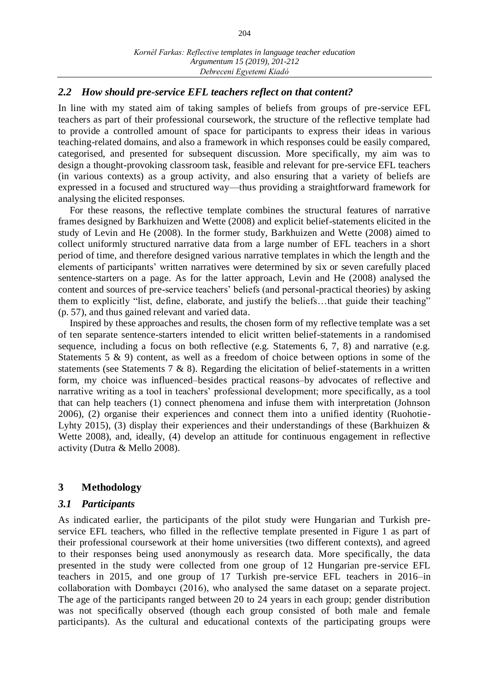#### *2.2 How should pre-service EFL teachers reflect on that content?*

In line with my stated aim of taking samples of beliefs from groups of pre-service EFL teachers as part of their professional coursework, the structure of the reflective template had to provide a controlled amount of space for participants to express their ideas in various teaching-related domains, and also a framework in which responses could be easily compared, categorised, and presented for subsequent discussion. More specifically, my aim was to design a thought-provoking classroom task, feasible and relevant for pre-service EFL teachers (in various contexts) as a group activity, and also ensuring that a variety of beliefs are expressed in a focused and structured way—thus providing a straightforward framework for analysing the elicited responses.

For these reasons, the reflective template combines the structural features of narrative frames designed by Barkhuizen and Wette (2008) and explicit belief-statements elicited in the study of Levin and He (2008). In the former study, Barkhuizen and Wette (2008) aimed to collect uniformly structured narrative data from a large number of EFL teachers in a short period of time, and therefore designed various narrative templates in which the length and the elements of participants' written narratives were determined by six or seven carefully placed sentence-starters on a page. As for the latter approach, Levin and He (2008) analysed the content and sources of pre-service teachers' beliefs (and personal-practical theories) by asking them to explicitly "list, define, elaborate, and justify the beliefs…that guide their teaching" (p. 57), and thus gained relevant and varied data.

Inspired by these approaches and results, the chosen form of my reflective template was a set of ten separate sentence-starters intended to elicit written belief-statements in a randomised sequence, including a focus on both reflective (e.g. Statements 6, 7, 8) and narrative (e.g. Statements 5 & 9) content, as well as a freedom of choice between options in some of the statements (see Statements 7 & 8). Regarding the elicitation of belief-statements in a written form, my choice was influenced–besides practical reasons–by advocates of reflective and narrative writing as a tool in teachers' professional development; more specifically, as a tool that can help teachers (1) connect phenomena and infuse them with interpretation (Johnson 2006), (2) organise their experiences and connect them into a unified identity (Ruohotie-Lyhty 2015), (3) display their experiences and their understandings of these (Barkhuizen & Wette 2008), and, ideally, (4) develop an attitude for continuous engagement in reflective activity (Dutra & Mello 2008).

#### **3 Methodology**

#### *3.1 Participants*

As indicated earlier, the participants of the pilot study were Hungarian and Turkish preservice EFL teachers, who filled in the reflective template presented in Figure 1 as part of their professional coursework at their home universities (two different contexts), and agreed to their responses being used anonymously as research data. More specifically, the data presented in the study were collected from one group of 12 Hungarian pre-service EFL teachers in 2015, and one group of 17 Turkish pre-service EFL teachers in 2016–in collaboration with Dombaycı (2016), who analysed the same dataset on a separate project. The age of the participants ranged between 20 to 24 years in each group; gender distribution was not specifically observed (though each group consisted of both male and female participants). As the cultural and educational contexts of the participating groups were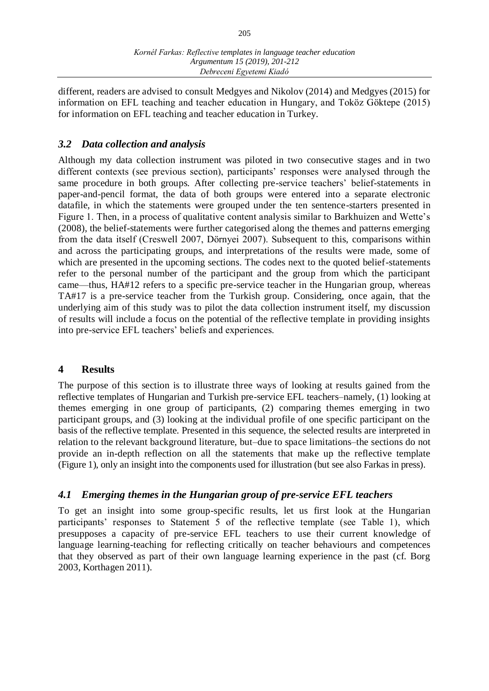205

different, readers are advised to consult Medgyes and Nikolov (2014) and Medgyes (2015) for information on EFL teaching and teacher education in Hungary, and Toköz Göktepe (2015) for information on EFL teaching and teacher education in Turkey.

# *3.2 Data collection and analysis*

Although my data collection instrument was piloted in two consecutive stages and in two different contexts (see previous section), participants' responses were analysed through the same procedure in both groups. After collecting pre-service teachers' belief-statements in paper-and-pencil format, the data of both groups were entered into a separate electronic datafile, in which the statements were grouped under the ten sentence-starters presented in Figure 1. Then, in a process of qualitative content analysis similar to Barkhuizen and Wette's (2008), the belief-statements were further categorised along the themes and patterns emerging from the data itself (Creswell 2007, Dörnyei 2007). Subsequent to this, comparisons within and across the participating groups, and interpretations of the results were made, some of which are presented in the upcoming sections. The codes next to the quoted belief-statements refer to the personal number of the participant and the group from which the participant came—thus, HA#12 refers to a specific pre-service teacher in the Hungarian group, whereas TA#17 is a pre-service teacher from the Turkish group. Considering, once again, that the underlying aim of this study was to pilot the data collection instrument itself, my discussion of results will include a focus on the potential of the reflective template in providing insights into pre-service EFL teachers' beliefs and experiences.

# **4 Results**

The purpose of this section is to illustrate three ways of looking at results gained from the reflective templates of Hungarian and Turkish pre-service EFL teachers–namely, (1) looking at themes emerging in one group of participants, (2) comparing themes emerging in two participant groups, and (3) looking at the individual profile of one specific participant on the basis of the reflective template. Presented in this sequence, the selected results are interpreted in relation to the relevant background literature, but–due to space limitations–the sections do not provide an in-depth reflection on all the statements that make up the reflective template (Figure 1), only an insight into the components used for illustration (but see also Farkas in press).

# *4.1 Emerging themes in the Hungarian group of pre-service EFL teachers*

To get an insight into some group-specific results, let us first look at the Hungarian participants' responses to Statement 5 of the reflective template (see Table 1), which presupposes a capacity of pre-service EFL teachers to use their current knowledge of language learning-teaching for reflecting critically on teacher behaviours and competences that they observed as part of their own language learning experience in the past (cf. Borg 2003, Korthagen 2011).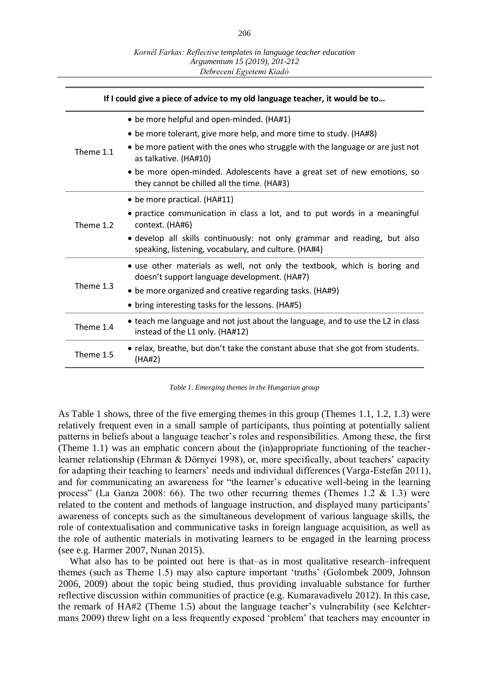| If I could give a piece of advice to my old language teacher, it would be to |                                                                                                                                   |
|------------------------------------------------------------------------------|-----------------------------------------------------------------------------------------------------------------------------------|
| Theme 1.1                                                                    | • be more helpful and open-minded. (HA#1)                                                                                         |
|                                                                              | • be more tolerant, give more help, and more time to study. (HA#8)                                                                |
|                                                                              | • be more patient with the ones who struggle with the language or are just not<br>as talkative. (HA#10)                           |
|                                                                              | • be more open-minded. Adolescents have a great set of new emotions, so<br>they cannot be chilled all the time. (HA#3)            |
| Theme 1.2                                                                    | • be more practical. (HA#11)                                                                                                      |
|                                                                              | • practice communication in class a lot, and to put words in a meaningful<br>context. (HA#6)                                      |
|                                                                              | • develop all skills continuously: not only grammar and reading, but also<br>speaking, listening, vocabulary, and culture. (HA#4) |
| Theme 1.3                                                                    | • use other materials as well, not only the textbook, which is boring and<br>doesn't support language development. (HA#7)         |
|                                                                              | • be more organized and creative regarding tasks. (HA#9)                                                                          |
|                                                                              | • bring interesting tasks for the lessons. (HA#5)                                                                                 |
| Theme 1.4                                                                    | • teach me language and not just about the language, and to use the L2 in class<br>instead of the L1 only. (HA#12)                |
| Theme 1.5                                                                    | • relax, breathe, but don't take the constant abuse that she got from students.<br>(HA#2)                                         |

*Table 1. Emerging themes in the Hungarian group*

As Table 1 shows, three of the five emerging themes in this group (Themes 1.1, 1.2, 1.3) were relatively frequent even in a small sample of participants, thus pointing at potentially salient patterns in beliefs about a language teacher's roles and responsibilities. Among these, the first (Theme 1.1) was an emphatic concern about the (in)appropriate functioning of the teacherlearner relationship (Ehrman & Dörnyei 1998), or, more specifically, about teachers' capacity for adapting their teaching to learners' needs and individual differences (Varga-Estefán 2011), and for communicating an awareness for "the learner's educative well-being in the learning process" (La Ganza 2008: 66). The two other recurring themes (Themes 1.2  $\&$  1.3) were related to the content and methods of language instruction, and displayed many participants' awareness of concepts such as the simultaneous development of various language skills, the role of contextualisation and communicative tasks in foreign language acquisition, as well as the role of authentic materials in motivating learners to be engaged in the learning process (see e.g. Harmer 2007, Nunan 2015).

What also has to be pointed out here is that–as in most qualitative research–infrequent themes (such as Theme 1.5) may also capture important 'truths' (Golombek 2009, Johnson 2006, 2009) about the topic being studied, thus providing invaluable substance for further reflective discussion within communities of practice (e.g. Kumaravadivelu 2012). In this case, the remark of HA#2 (Theme 1.5) about the language teacher's vulnerability (see Kelchtermans 2009) threw light on a less frequently exposed 'problem' that teachers may encounter in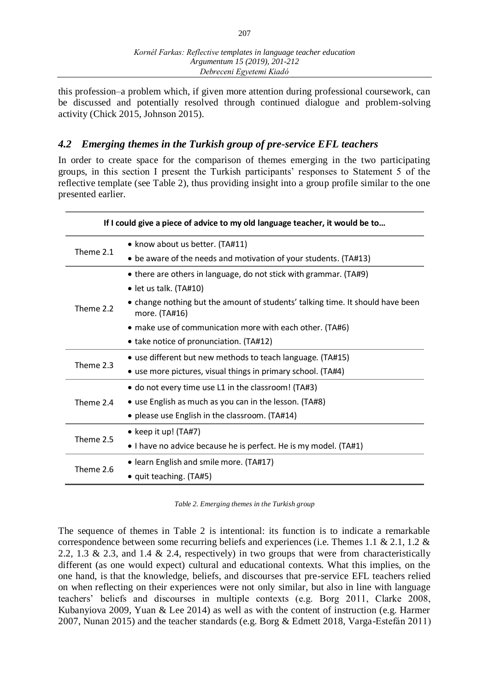this profession–a problem which, if given more attention during professional coursework, can be discussed and potentially resolved through continued dialogue and problem-solving activity (Chick 2015, Johnson 2015).

## *4.2 Emerging themes in the Turkish group of pre-service EFL teachers*

In order to create space for the comparison of themes emerging in the two participating groups, in this section I present the Turkish participants' responses to Statement 5 of the reflective template (see Table 2), thus providing insight into a group profile similar to the one presented earlier.

| If I could give a piece of advice to my old language teacher, it would be to |                                                                                                 |
|------------------------------------------------------------------------------|-------------------------------------------------------------------------------------------------|
| Theme 2.1                                                                    | • know about us better. (TA#11)                                                                 |
|                                                                              | • be aware of the needs and motivation of your students. (TA#13)                                |
| Theme 2.2                                                                    | • there are others in language, do not stick with grammar. (TA#9)                               |
|                                                                              | $\bullet$ let us talk. (TA#10)                                                                  |
|                                                                              | • change nothing but the amount of students' talking time. It should have been<br>more. (TA#16) |
|                                                                              | • make use of communication more with each other. (TA#6)                                        |
|                                                                              | • take notice of pronunciation. (TA#12)                                                         |
| Theme 2.3                                                                    | • use different but new methods to teach language. (TA#15)                                      |
|                                                                              | • use more pictures, visual things in primary school. (TA#4)                                    |
| Theme 2.4                                                                    | • do not every time use L1 in the classroom! (TA#3)                                             |
|                                                                              | • use English as much as you can in the lesson. (TA#8)                                          |
|                                                                              | • please use English in the classroom. (TA#14)                                                  |
| Theme 2.5                                                                    | • keep it up! $(TA#7)$                                                                          |
|                                                                              | • I have no advice because he is perfect. He is my model. (TA#1)                                |
| Theme 2.6                                                                    | • learn English and smile more. (TA#17)                                                         |
|                                                                              | · quit teaching. (TA#5)                                                                         |

*Table 2. Emerging themes in the Turkish group*

The sequence of themes in Table 2 is intentional: its function is to indicate a remarkable correspondence between some recurring beliefs and experiences (i.e. Themes 1.1 & 2.1, 1.2 & 2.2, 1.3 & 2.3, and 1.4 & 2.4, respectively) in two groups that were from characteristically different (as one would expect) cultural and educational contexts. What this implies, on the one hand, is that the knowledge, beliefs, and discourses that pre-service EFL teachers relied on when reflecting on their experiences were not only similar, but also in line with language teachers' beliefs and discourses in multiple contexts (e.g. Borg 2011, Clarke 2008, Kubanyiova 2009, Yuan & Lee 2014) as well as with the content of instruction (e.g. Harmer 2007, Nunan 2015) and the teacher standards (e.g. Borg & Edmett 2018, Varga-Estefán 2011)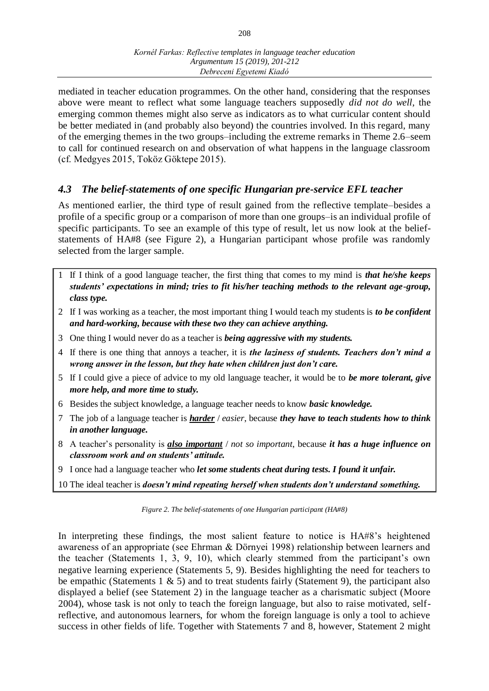208

mediated in teacher education programmes. On the other hand, considering that the responses above were meant to reflect what some language teachers supposedly *did not do well*, the emerging common themes might also serve as indicators as to what curricular content should be better mediated in (and probably also beyond) the countries involved. In this regard, many of the emerging themes in the two groups–including the extreme remarks in Theme 2.6–seem to call for continued research on and observation of what happens in the language classroom (cf. Medgyes 2015, Toköz Göktepe 2015).

### *4.3 The belief-statements of one specific Hungarian pre-service EFL teacher*

As mentioned earlier, the third type of result gained from the reflective template–besides a profile of a specific group or a comparison of more than one groups–is an individual profile of specific participants. To see an example of this type of result, let us now look at the beliefstatements of HA#8 (see Figure 2), a Hungarian participant whose profile was randomly selected from the larger sample.

- 1 If I think of a good language teacher, the first thing that comes to my mind is *that he/she keeps students' expectations in mind; tries to fit his/her teaching methods to the relevant age-group, class type.*
- 2 If I was working as a teacher, the most important thing I would teach my students is *to be confident and hard-working, because with these two they can achieve anything.*
- 3 One thing I would never do as a teacher is *being aggressive with my students.*
- 4 If there is one thing that annoys a teacher, it is *the laziness of students. Teachers don't mind a wrong answer in the lesson, but they hate when children just don't care.*
- 5 If I could give a piece of advice to my old language teacher, it would be to *be more tolerant, give more help, and more time to study.*
- 6 Besides the subject knowledge, a language teacher needs to know *basic knowledge.*
- 7 The job of a language teacher is *harder* / *easier*, because *they have to teach students how to think in another language.*
- 8 A teacher's personality is *also important* / *not so important*, because *it has a huge influence on classroom work and on students' attitude.*
- 9 I once had a language teacher who *let some students cheat during tests. I found it unfair.*

10 The ideal teacher is *doesn't mind repeating herself when students don't understand something.*

*Figure 2. The belief-statements of one Hungarian participant (HA#8)*

In interpreting these findings, the most salient feature to notice is HA#8's heightened awareness of an appropriate (see Ehrman & Dörnyei 1998) relationship between learners and the teacher (Statements 1, 3, 9, 10), which clearly stemmed from the participant's own negative learning experience (Statements 5, 9). Besides highlighting the need for teachers to be empathic (Statements 1  $\&$  5) and to treat students fairly (Statement 9), the participant also displayed a belief (see Statement 2) in the language teacher as a charismatic subject (Moore 2004), whose task is not only to teach the foreign language, but also to raise motivated, selfreflective, and autonomous learners, for whom the foreign language is only a tool to achieve success in other fields of life. Together with Statements 7 and 8, however, Statement 2 might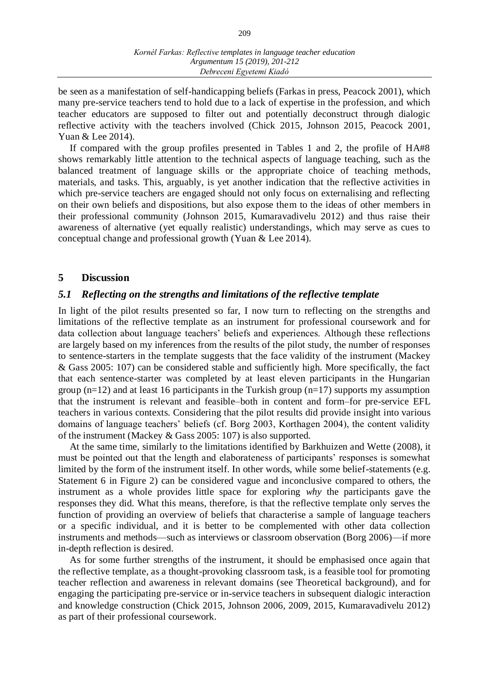be seen as a manifestation of self-handicapping beliefs (Farkas in press, Peacock 2001), which many pre-service teachers tend to hold due to a lack of expertise in the profession, and which teacher educators are supposed to filter out and potentially deconstruct through dialogic reflective activity with the teachers involved (Chick 2015, Johnson 2015, Peacock 2001, Yuan & Lee 2014).

If compared with the group profiles presented in Tables 1 and 2, the profile of HA#8 shows remarkably little attention to the technical aspects of language teaching, such as the balanced treatment of language skills or the appropriate choice of teaching methods, materials, and tasks. This, arguably, is yet another indication that the reflective activities in which pre-service teachers are engaged should not only focus on externalising and reflecting on their own beliefs and dispositions, but also expose them to the ideas of other members in their professional community (Johnson 2015, Kumaravadivelu 2012) and thus raise their awareness of alternative (yet equally realistic) understandings, which may serve as cues to conceptual change and professional growth (Yuan & Lee 2014).

#### **5 Discussion**

#### *5.1 Reflecting on the strengths and limitations of the reflective template*

In light of the pilot results presented so far, I now turn to reflecting on the strengths and limitations of the reflective template as an instrument for professional coursework and for data collection about language teachers' beliefs and experiences. Although these reflections are largely based on my inferences from the results of the pilot study, the number of responses to sentence-starters in the template suggests that the face validity of the instrument (Mackey & Gass 2005: 107) can be considered stable and sufficiently high. More specifically, the fact that each sentence-starter was completed by at least eleven participants in the Hungarian group  $(n=12)$  and at least 16 participants in the Turkish group  $(n=17)$  supports my assumption that the instrument is relevant and feasible–both in content and form–for pre-service EFL teachers in various contexts. Considering that the pilot results did provide insight into various domains of language teachers' beliefs (cf. Borg 2003, Korthagen 2004), the content validity of the instrument (Mackey & Gass 2005: 107) is also supported.

At the same time, similarly to the limitations identified by Barkhuizen and Wette (2008), it must be pointed out that the length and elaborateness of participants' responses is somewhat limited by the form of the instrument itself. In other words, while some belief-statements (e.g. Statement 6 in Figure 2) can be considered vague and inconclusive compared to others, the instrument as a whole provides little space for exploring *why* the participants gave the responses they did. What this means, therefore, is that the reflective template only serves the function of providing an overview of beliefs that characterise a sample of language teachers or a specific individual, and it is better to be complemented with other data collection instruments and methods—such as interviews or classroom observation (Borg 2006)—if more in-depth reflection is desired.

As for some further strengths of the instrument, it should be emphasised once again that the reflective template, as a thought-provoking classroom task, is a feasible tool for promoting teacher reflection and awareness in relevant domains (see Theoretical background), and for engaging the participating pre-service or in-service teachers in subsequent dialogic interaction and knowledge construction (Chick 2015, Johnson 2006, 2009, 2015, Kumaravadivelu 2012) as part of their professional coursework.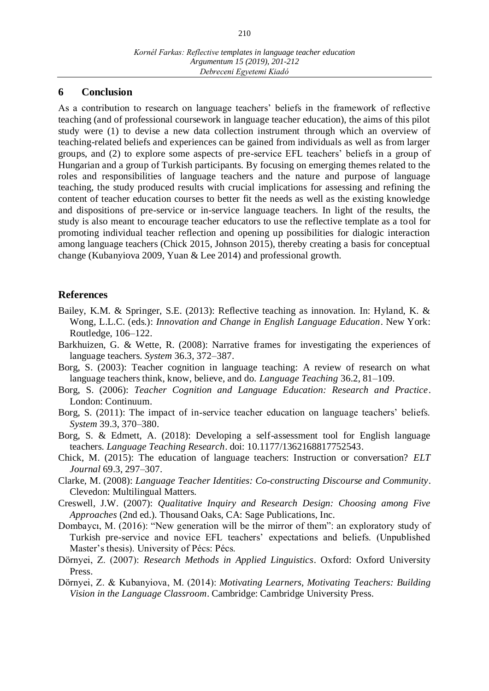#### **6 Conclusion**

As a contribution to research on language teachers' beliefs in the framework of reflective teaching (and of professional coursework in language teacher education), the aims of this pilot study were (1) to devise a new data collection instrument through which an overview of teaching-related beliefs and experiences can be gained from individuals as well as from larger groups, and (2) to explore some aspects of pre-service EFL teachers' beliefs in a group of Hungarian and a group of Turkish participants. By focusing on emerging themes related to the roles and responsibilities of language teachers and the nature and purpose of language teaching, the study produced results with crucial implications for assessing and refining the content of teacher education courses to better fit the needs as well as the existing knowledge and dispositions of pre-service or in-service language teachers. In light of the results, the study is also meant to encourage teacher educators to use the reflective template as a tool for promoting individual teacher reflection and opening up possibilities for dialogic interaction among language teachers (Chick 2015, Johnson 2015), thereby creating a basis for conceptual change (Kubanyiova 2009, Yuan & Lee 2014) and professional growth.

#### **References**

- Bailey, K.M. & Springer, S.E. (2013): Reflective teaching as innovation. In: Hyland, K. & Wong, L.L.C. (eds.): *Innovation and Change in English Language Education*. New York: Routledge, 106–122.
- Barkhuizen, G. & Wette, R. (2008): Narrative frames for investigating the experiences of language teachers. *System* 36.3, 372–387.
- Borg, S. (2003): Teacher cognition in language teaching: A review of research on what language teachers think, know, believe, and do. *Language Teaching* 36.2, 81–109.
- Borg, S. (2006): *Teacher Cognition and Language Education: Research and Practice*. London: Continuum.
- Borg, S. (2011): The impact of in-service teacher education on language teachers' beliefs. *System* 39.3, 370–380.
- Borg, S. & Edmett, A. (2018): Developing a self-assessment tool for English language teachers. *Language Teaching Research*. doi: 10.1177/1362168817752543.
- Chick, M. (2015): The education of language teachers: Instruction or conversation? *ELT Journal* 69.3, 297–307.
- Clarke, M. (2008): *Language Teacher Identities: Co-constructing Discourse and Community*. Clevedon: Multilingual Matters.
- Creswell, J.W. (2007): *Qualitative Inquiry and Research Design: Choosing among Five Approaches* (2nd ed.). Thousand Oaks, CA: Sage Publications, Inc.
- Dombaycı, M. (2016): "New generation will be the mirror of them": an exploratory study of Turkish pre-service and novice EFL teachers' expectations and beliefs. (Unpublished Master's thesis). University of Pécs: Pécs.
- Dörnyei, Z. (2007): *Research Methods in Applied Linguistics*. Oxford: Oxford University Press.
- Dörnyei, Z. & Kubanyiova, M. (2014): *Motivating Learners, Motivating Teachers: Building Vision in the Language Classroom*. Cambridge: Cambridge University Press.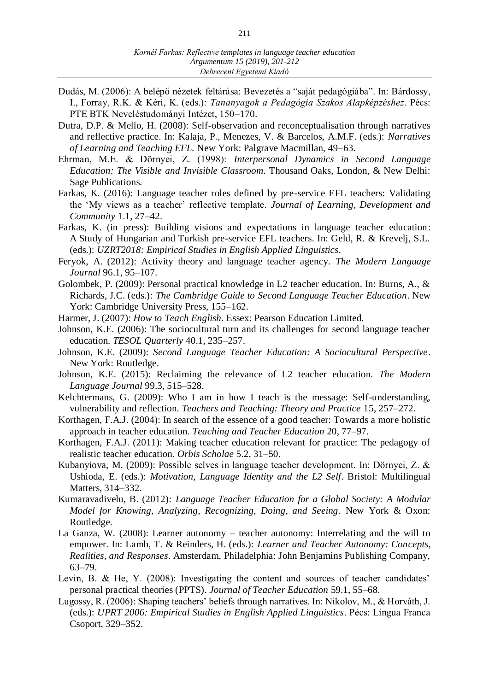- Dudás, M. (2006): A belépő nézetek feltárása: Bevezetés a "saját pedagógiába". In: Bárdossy, I., Forray, R.K. & Kéri, K. (eds.): *Tananyagok a Pedagógia Szakos Alapképzéshez*. Pécs: PTE BTK Neveléstudományi Intézet, 150–170.
- Dutra, D.P. & Mello, H. (2008): Self-observation and reconceptualisation through narratives and reflective practice. In: Kalaja, P., Menezes, V. & Barcelos, A.M.F. (eds.): *Narratives of Learning and Teaching EFL.* New York: Palgrave Macmillan, 49–63.
- Ehrman, M.E. & Dörnyei, Z. (1998): *Interpersonal Dynamics in Second Language Education: The Visible and Invisible Classroom*. Thousand Oaks, London, & New Delhi: Sage Publications.
- Farkas, K. (2016): Language teacher roles defined by pre-service EFL teachers: Validating the 'My views as a teacher' reflective template. *Journal of Learning, Development and Community* 1.1, 27–42.
- Farkas, K. (in press): Building visions and expectations in language teacher education: A Study of Hungarian and Turkish pre-service EFL teachers. In: Geld, R. & Krevelj, S.L. (eds.): *UZRT2018: Empirical Studies in English Applied Linguistics*.
- Feryok, A. (2012): Activity theory and language teacher agency. *The Modern Language Journal* 96.1, 95–107.
- Golombek, P. (2009): Personal practical knowledge in L2 teacher education. In: Burns, A., & Richards, J.C. (eds.): *The Cambridge Guide to Second Language Teacher Education*. New York: Cambridge University Press, 155–162.
- Harmer, J. (2007): *How to Teach English*. Essex: Pearson Education Limited.
- Johnson, K.E. (2006): The sociocultural turn and its challenges for second language teacher education. *TESOL Quarterly* 40.1, 235–257.
- Johnson, K.E. (2009): *Second Language Teacher Education: A Sociocultural Perspective*. New York: Routledge.
- Johnson, K.E. (2015): Reclaiming the relevance of L2 teacher education. *The Modern Language Journal* 99.3, 515–528.
- Kelchtermans, G. (2009): Who I am in how I teach is the message: Self-understanding, vulnerability and reflection. *Teachers and Teaching: Theory and Practice* 15, 257–272.
- Korthagen, F.A.J. (2004): In search of the essence of a good teacher: Towards a more holistic approach in teacher education. *Teaching and Teacher Education* 20, 77–97.
- Korthagen, F.A.J. (2011): Making teacher education relevant for practice: The pedagogy of realistic teacher education. *Orbis Scholae* 5.2, 31–50.
- Kubanyiova, M. (2009): Possible selves in language teacher development. In: Dörnyei, Z. & Ushioda, E. (eds.): *Motivation, Language Identity and the L2 Self*. Bristol: Multilingual Matters, 314–332.
- Kumaravadivelu, B. (2012)*: Language Teacher Education for a Global Society: A Modular Model for Knowing, Analyzing, Recognizing, Doing, and Seeing*. New York & Oxon: Routledge.
- La Ganza, W. (2008): Learner autonomy teacher autonomy: Interrelating and the will to empower. In: Lamb, T. & Reinders, H. (eds.): *Learner and Teacher Autonomy: Concepts, Realities, and Responses*. Amsterdam, Philadelphia: John Benjamins Publishing Company, 63–79.
- Levin, B. & He, Y. (2008): Investigating the content and sources of teacher candidates' personal practical theories (PPTS). *Journal of Teacher Education* 59.1, 55–68.
- Lugossy, R. (2006): Shaping teachers' beliefs through narratives. In: Nikolov, M., & Horváth, J. (eds.): *UPRT 2006: Empirical Studies in English Applied Linguistics*. Pécs: Lingua Franca Csoport, 329–352.